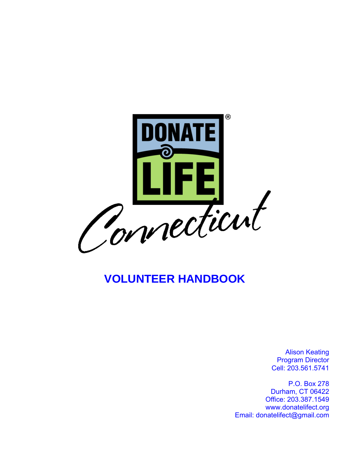

# **VOLUNTEER HANDBOOK**

Alison Keating Program Director Cell: 203.561.5741

P.O. Box 278 Durham, CT 06422 Office: 203.387.1549 www.donatelifect.org Email: donatelifect@gmail.com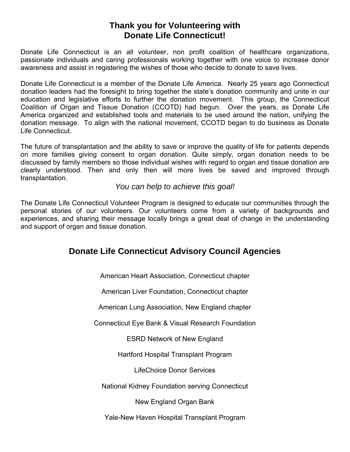## **Thank you for Volunteering with Donate Life Connecticut!**

Donate Life Connecticut is an all volunteer, non profit coalition of healthcare organizations, passionate individuals and caring professionals working together with one voice to increase donor awareness and assist in registering the wishes of those who decide to donate to save lives.

Donate Life Connecticut is a member of the Donate Life America. Nearly 25 years ago Connecticut donation leaders had the foresight to bring together the state's donation community and unite in our education and legislative efforts to further the donation movement. This group, the Connecticut Coalition of Organ and Tissue Donation (CCOTD) had begun. Over the years, as Donate Life America organized and established tools and materials to be used around the nation, unifying the donation message. To align with the national movement, CCOTD began to do business as Donate Life Connecticut.

The future of transplantation and the ability to save or improve the quality of life for patients depends on more families giving consent to organ donation. Quite simply, organ donation needs to be discussed by family members so those individual wishes with regard to organ and tissue donation are clearly understood. Then and only then will more lives be saved and improved through transplantation.

### *You can help to achieve this goal!*

The Donate Life Connecticut Volunteer Program is designed to educate our communities through the personal stories of our volunteers. Our volunteers come from a variety of backgrounds and experiences, and sharing their message locally brings a great deal of change in the understanding and support of organ and tissue donation.

## **Donate Life Connecticut Advisory Council Agencies**

American Heart Association, Connecticut chapter

American Liver Foundation, Connecticut chapter

American Lung Association, New England chapter

Connecticut Eye Bank & Visual Research Foundation

ESRD Network of New England

Hartford Hospital Transplant Program

LifeChoice Donor Services

National Kidney Foundation serving Connecticut

New England Organ Bank

Yale-New Haven Hospital Transplant Program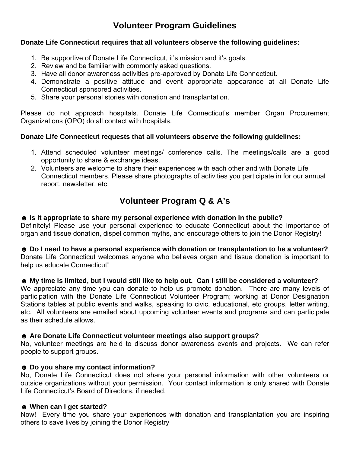## **Volunteer Program Guidelines**

#### **Donate Life Connecticut requires that all volunteers observe the following guidelines:**

- 1. Be supportive of Donate Life Connecticut, it's mission and it's goals.
- 2. Review and be familiar with commonly asked questions.
- 3. Have all donor awareness activities pre-approved by Donate Life Connecticut.
- 4. Demonstrate a positive attitude and event appropriate appearance at all Donate Life Connecticut sponsored activities.
- 5. Share your personal stories with donation and transplantation.

Please do not approach hospitals. Donate Life Connecticut's member Organ Procurement Organizations (OPO) do all contact with hospitals.

#### **Donate Life Connecticut requests that all volunteers observe the following guidelines:**

- 1. Attend scheduled volunteer meetings/ conference calls. The meetings/calls are a good opportunity to share & exchange ideas.
- 2. Volunteers are welcome to share their experiences with each other and with Donate Life Connecticut members. Please share photographs of activities you participate in for our annual report, newsletter, etc.

## **Volunteer Program Q & A's**

#### ☻ **Is it appropriate to share my personal experience with donation in the public?**

Definitely! Please use your personal experience to educate Connecticut about the importance of organ and tissue donation, dispel common myths, and encourage others to join the Donor Registry!

☻ **Do I need to have a personal experience with donation or transplantation to be a volunteer?** Donate Life Connecticut welcomes anyone who believes organ and tissue donation is important to help us educate Connecticut!

#### ☻ **My time is limited, but I would still like to help out. Can I still be considered a volunteer?**

We appreciate any time you can donate to help us promote donation. There are many levels of participation with the Donate Life Connecticut Volunteer Program; working at Donor Designation Stations tables at public events and walks, speaking to civic, educational, etc groups, letter writing, etc. All volunteers are emailed about upcoming volunteer events and programs and can participate as their schedule allows.

#### ☻ **Are Donate Life Connecticut volunteer meetings also support groups?**

No, volunteer meetings are held to discuss donor awareness events and projects. We can refer people to support groups.

#### ☻ **Do you share my contact information?**

No, Donate Life Connecticut does not share your personal information with other volunteers or outside organizations without your permission. Your contact information is only shared with Donate Life Connecticut's Board of Directors, if needed.

#### ☻ **When can I get started?**

Now! Every time you share your experiences with donation and transplantation you are inspiring others to save lives by joining the Donor Registry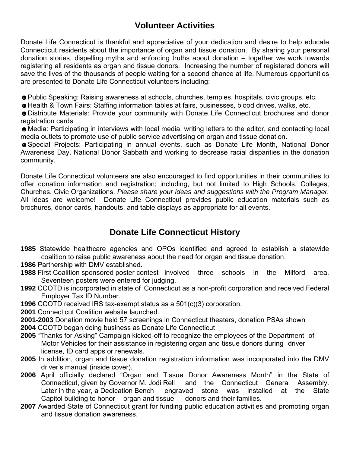## **Volunteer Activities**

Donate Life Connecticut is thankful and appreciative of your dedication and desire to help educate Connecticut residents about the importance of organ and tissue donation. By sharing your personal donation stories, dispelling myths and enforcing truths about donation – together we work towards registering all residents as organ and tissue donors. Increasing the number of registered donors will save the lives of the thousands of people waiting for a second chance at life. Numerous opportunities are presented to Donate Life Connecticut volunteers including:

☻Public Speaking: Raising awareness at schools, churches, temples, hospitals, civic groups, etc.

☻Health & Town Fairs: Staffing information tables at fairs, businesses, blood drives, walks, etc.

☻Distribute Materials: Provide your community with Donate Life Connecticut brochures and donor registration cards

☻Media: Participating in interviews with local media, writing letters to the editor, and contacting local media outlets to promote use of public service advertising on organ and tissue donation.

☻Special Projects: Participating in annual events, such as Donate Life Month, National Donor Awareness Day, National Donor Sabbath and working to decrease racial disparities in the donation community.

Donate Life Connecticut volunteers are also encouraged to find opportunities in their communities to offer donation information and registration; including, but not limited to High Schools, Colleges, Churches, Civic Organizations. *Please share your ideas and suggestions with the Program Manager.* All ideas are welcome! Donate Life Connecticut provides public education materials such as brochures, donor cards, handouts, and table displays as appropriate for all events.

## **Donate Life Connecticut History**

**1985** Statewide healthcare agencies and OPOs identified and agreed to establish a statewide coalition to raise public awareness about the need for organ and tissue donation.

**1986** Partnership with DMV established.

- **1988** First Coalition sponsored poster contest involved three schools in the Milford area. Seventeen posters were entered for judging.
- **1992** CCOTD is incorporated in state of Connecticut as a non-profit corporation and received Federal Employer Tax ID Number.
- **1996** CCOTD received IRS tax-exempt status as a 501(c)(3) corporation.
- **2001** Connecticut Coalition website launched.

**2001-2003** Donation movie held 57 screenings in Connecticut theaters, donation PSAs shown **2004** CCOTD began doing business as Donate Life Connecticut

- **2005** "Thanks for Asking" Campaign kicked-off to recognize the employees of the Department of Motor Vehicles for their assistance in registering organ and tissue donors during driver license, ID card apps or renewals.
- **2005** In addition, organ and tissue donation registration information was incorporated into the DMV driver's manual (inside cover).
- **2006** April officially declared "Organ and Tissue Donor Awareness Month" in the State of Connecticut, given by Governor M. Jodi Rell and the Connecticut General Assembly. Later in the year, a Dedication Bench engraved stone was installed at the State Capitol building to honor organ and tissue donors and their families.
- **2007** Awarded State of Connecticut grant for funding public education activities and promoting organ and tissue donation awareness.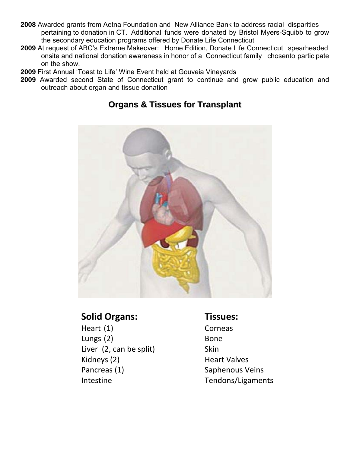- **2008** Awarded grants from Aetna Foundation and New Alliance Bank to address racial disparities pertaining to donation in CT. Additional funds were donated by Bristol Myers-Squibb to grow the secondary education programs offered by Donate Life Connecticut
- **2009** At request of ABC's Extreme Makeover: Home Edition, Donate Life Connecticut spearheaded onsite and national donation awareness in honor of a Connecticut family chosento participate on the show.
- **2009** First Annual 'Toast to Life' Wine Event held at Gouveia Vineyards
- **2009** Awarded second State of Connecticut grant to continue and grow public education and outreach about organ and tissue donation



## **Organs & Tissues for Transplant**

## **Solid Organs: Tissues:**

Heart (1) Corneas Lungs (2) Bone Liver (2, can be split) Skin Kidneys (2) **Heart Valves** Pancreas (1) Saphenous Veins

Intestine Tendons/Ligaments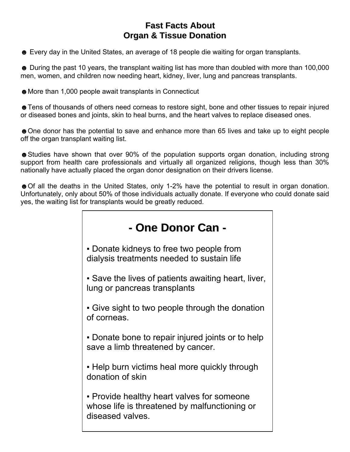## **Fast Facts About Organ & Tissue Donation**

☻ Every day in the United States, an average of 18 people die waiting for organ transplants.

☻ During the past 10 years, the transplant waiting list has more than doubled with more than 100,000 men, women, and children now needing heart, kidney, liver, lung and pancreas transplants.

☻More than 1,000 people await transplants in Connecticut

☻Tens of thousands of others need corneas to restore sight, bone and other tissues to repair injured or diseased bones and joints, skin to heal burns, and the heart valves to replace diseased ones.

☻One donor has the potential to save and enhance more than 65 lives and take up to eight people off the organ transplant waiting list.

☻Studies have shown that over 90% of the population supports organ donation, including strong support from health care professionals and virtually all organized religions, though less than 30% nationally have actually placed the organ donor designation on their drivers license.

☻Of all the deaths in the United States, only 1-2% have the potential to result in organ donation. Unfortunately, only about 50% of those individuals actually donate. If everyone who could donate said yes, the waiting list for transplants would be greatly reduced.

| - One Donor Can -                                                                                               |
|-----------------------------------------------------------------------------------------------------------------|
| • Donate kidneys to free two people from<br>dialysis treatments needed to sustain life                          |
| • Save the lives of patients awaiting heart, liver,<br>lung or pancreas transplants                             |
| • Give sight to two people through the donation<br>of corneas.                                                  |
| • Donate bone to repair injured joints or to help<br>save a limb threatened by cancer.                          |
| . Help burn victims heal more quickly through<br>donation of skin                                               |
| • Provide healthy heart valves for someone<br>whose life is threatened by malfunctioning or<br>diseased valves. |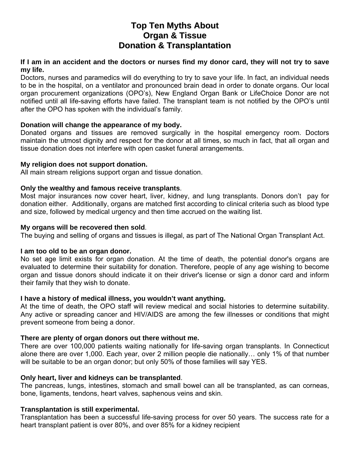## **Top Ten Myths About Organ & Tissue Donation & Transplantation**

#### **If I am in an accident and the doctors or nurses find my donor card, they will not try to save my life.**

Doctors, nurses and paramedics will do everything to try to save your life. In fact, an individual needs to be in the hospital, on a ventilator and pronounced brain dead in order to donate organs. Our local organ procurement organizations (OPO's), New England Organ Bank or LifeChoice Donor are not notified until all life-saving efforts have failed. The transplant team is not notified by the OPO's until after the OPO has spoken with the individual's family.

#### **Donation will change the appearance of my body.**

Donated organs and tissues are removed surgically in the hospital emergency room. Doctors maintain the utmost dignity and respect for the donor at all times, so much in fact, that all organ and tissue donation does not interfere with open casket funeral arrangements.

#### **My religion does not support donation.**

All main stream religions support organ and tissue donation.

#### **Only the wealthy and famous receive transplants**.

Most major insurances now cover heart, liver, kidney, and lung transplants. Donors don't pay for donation either. Additionally, organs are matched first according to clinical criteria such as blood type and size, followed by medical urgency and then time accrued on the waiting list.

#### **My organs will be recovered then sold**.

The buying and selling of organs and tissues is illegal, as part of The National Organ Transplant Act.

#### **I am too old to be an organ donor.**

No set age limit exists for organ donation. At the time of death, the potential donor's organs are evaluated to determine their suitability for donation. Therefore, people of any age wishing to become organ and tissue donors should indicate it on their driver's license or sign a donor card and inform their family that they wish to donate.

#### **I have a history of medical illness, you wouldn't want anything.**

At the time of death, the OPO staff will review medical and social histories to determine suitability. Any active or spreading cancer and HIV/AIDS are among the few illnesses or conditions that might prevent someone from being a donor.

#### **There are plenty of organ donors out there without me.**

There are over 100,000 patients waiting nationally for life-saving organ transplants. In Connecticut alone there are over 1,000. Each year, over 2 million people die nationally… only 1% of that number will be suitable to be an organ donor; but only 50% of those families will say YES.

#### **Only heart, liver and kidneys can be transplanted**.

The pancreas, lungs, intestines, stomach and small bowel can all be transplanted, as can corneas, bone, ligaments, tendons, heart valves, saphenous veins and skin.

#### **Transplantation is still experimental.**

Transplantation has been a successful life-saving process for over 50 years. The success rate for a heart transplant patient is over 80%, and over 85% for a kidney recipient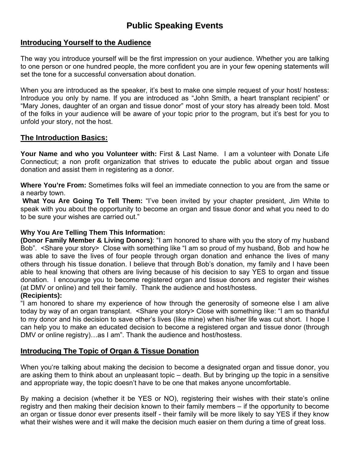## **Public Speaking Events**

#### **Introducing Yourself to the Audience**

The way you introduce yourself will be the first impression on your audience. Whether you are talking to one person or one hundred people, the more confident you are in your few opening statements will set the tone for a successful conversation about donation.

When you are introduced as the speaker, it's best to make one simple request of your host/ hostess: Introduce you only by name. If you are introduced as "John Smith, a heart transplant recipient" or "Mary Jones, daughter of an organ and tissue donor" most of your story has already been told. Most of the folks in your audience will be aware of your topic prior to the program, but it's best for you to unfold your story, not the host.

#### **The Introduction Basics:**

Your Name and who you Volunteer with: First & Last Name. I am a volunteer with Donate Life Connecticut; a non profit organization that strives to educate the public about organ and tissue donation and assist them in registering as a donor.

**Where You're From:** Sometimes folks will feel an immediate connection to you are from the same or a nearby town.

**What You Are Going To Tell Them:** "I've been invited by your chapter president, Jim White to speak with you about the opportunity to become an organ and tissue donor and what you need to do to be sure your wishes are carried out."

#### **Why You Are Telling Them This Information:**

**(Donor Family Member & Living Donors)**: "I am honored to share with you the story of my husband Bob". <Share your story> Close with something like "I am so proud of my husband, Bob and how he was able to save the lives of four people through organ donation and enhance the lives of many others through his tissue donation. I believe that through Bob's donation, my family and I have been able to heal knowing that others are living because of his decision to say YES to organ and tissue donation. I encourage you to become registered organ and tissue donors and register their wishes (at DMV or online) and tell their family. Thank the audience and host/hostess.

#### **(Recipients):**

"I am honored to share my experience of how through the generosity of someone else I am alive today by way of an organ transplant. <Share your story> Close with something like: "I am so thankful to my donor and his decision to save other's lives (like mine) when his/her life was cut short. I hope I can help you to make an educated decision to become a registered organ and tissue donor (through DMV or online registry)…as I am". Thank the audience and host/hostess.

### **Introducing The Topic of Organ & Tissue Donation**

When you're talking about making the decision to become a designated organ and tissue donor, you are asking them to think about an unpleasant topic – death. But by bringing up the topic in a sensitive and appropriate way, the topic doesn't have to be one that makes anyone uncomfortable.

By making a decision (whether it be YES or NO), registering their wishes with their state's online registry and then making their decision known to their family members – if the opportunity to become an organ or tissue donor ever presents itself - their family will be more likely to say YES if they know what their wishes were and it will make the decision much easier on them during a time of great loss.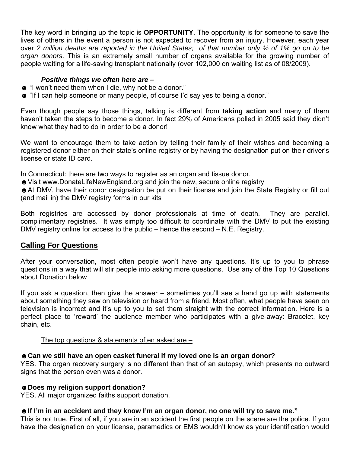The key word in bringing up the topic is **OPPORTUNITY**. The opportunity is for someone to save the lives of others in the event a person is not expected to recover from an injury. However, each year over *2 million deaths are reported in the United States; of that number only ½ of 1% go on to be organ donors*. This is an extremely small number of organs available for the growing number of people waiting for a life-saving transplant nationally (over 102,000 on waiting list as of 08/2009).

#### *Positive things we often here are –*

- ☻ "I won't need them when I die, why not be a donor."
- ☻ "If I can help someone or many people, of course I'd say yes to being a donor."

Even though people say those things, talking is different from **taking action** and many of them haven't taken the steps to become a donor. In fact 29% of Americans polled in 2005 said they didn't know what they had to do in order to be a donor!

We want to encourage them to take action by telling their family of their wishes and becoming a registered donor either on their state's online registry or by having the designation put on their driver's license or state ID card.

In Connecticut: there are two ways to register as an organ and tissue donor.

☻Visit www.DonateLifeNewEngland.org and join the new, secure online registry

☻At DMV, have their donor designation be put on their license and join the State Registry or fill out (and mail in) the DMV registry forms in our kits

Both registries are accessed by donor professionals at time of death. They are parallel, complimentary registries. It was simply too difficult to coordinate with the DMV to put the existing DMV registry online for access to the public – hence the second – N.E. Registry.

#### **Calling For Questions**

After your conversation, most often people won't have any questions. It's up to you to phrase questions in a way that will stir people into asking more questions. Use any of the Top 10 Questions about Donation below

If you ask a question, then give the answer – sometimes you'll see a hand go up with statements about something they saw on television or heard from a friend. Most often, what people have seen on television is incorrect and it's up to you to set them straight with the correct information. Here is a perfect place to 'reward' the audience member who participates with a give-away: Bracelet, key chain, etc.

#### The top questions & statements often asked are –

### ☻**Can we still have an open casket funeral if my loved one is an organ donor?**

YES. The organ recovery surgery is no different than that of an autopsy, which presents no outward signs that the person even was a donor.

#### ☻**Does my religion support donation?**

YES. All major organized faiths support donation.

#### ☻**If I'm in an accident and they know I'm an organ donor, no one will try to save me."**

This is not true. First of all, if you are in an accident the first people on the scene are the police. If you have the designation on your license, paramedics or EMS wouldn't know as your identification would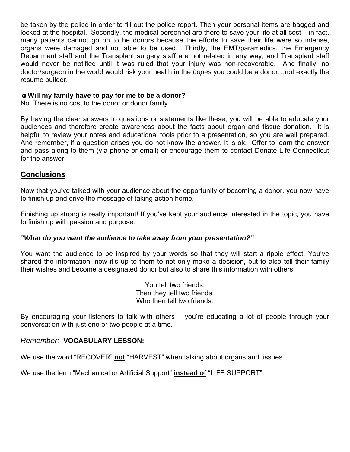be taken by the police in order to fill out the police report. Then your personal items are bagged and locked at the hospital. Secondly, the medical personnel are there to save your life at all cost – in fact, many patients cannot go on to be donors because the efforts to save their life were so intense, organs were damaged and not able to be used. Thirdly, the EMT/paramedics, the Emergency Department staff and the Transplant surgery staff are not related in any way, and Transplant staff would never be notified until it was ruled that your injury was non-recoverable. And finally, no doctor/surgeon in the world would risk your health in the *hopes* you could be a donor…not exactly the resume builder.

#### ☻**Will my family have to pay for me to be a donor?**

No. There is no cost to the donor or donor family.

By having the clear answers to questions or statements like these, you will be able to educate your audiences and therefore create awareness about the facts about organ and tissue donation. It is helpful to review your notes and educational tools prior to a presentation, so you are well prepared. And remember, if a question arises you do not know the answer. It is ok. Offer to learn the answer and pass along to them (via phone or email) or encourage them to contact Donate Life Connecticut for the answer.

#### **Conclusions**

Now that you've talked with your audience about the opportunity of becoming a donor, you now have to finish up and drive the message of taking action home.

Finishing up strong is really important! If you've kept your audience interested in the topic, you have to finish up with passion and purpose.

#### *"What do you want the audience to take away from your presentation?"*

You want the audience to be inspired by your words so that they will start a ripple effect. You've shared the information, now it's up to them to not only make a decision, but to also tell their family their wishes and become a designated donor but also to share this information with others.

> You tell two friends. Then they tell two friends. Who then tell two friends.

By encouraging your listeners to talk with others – you're educating a lot of people through your conversation with just one or two people at a time.

#### *Remember:* **VOCABULARY LESSON:**

We use the word "RECOVER" **not** "HARVEST" when talking about organs and tissues.

We use the term "Mechanical or Artificial Support" **instead of** "LIFE SUPPORT".